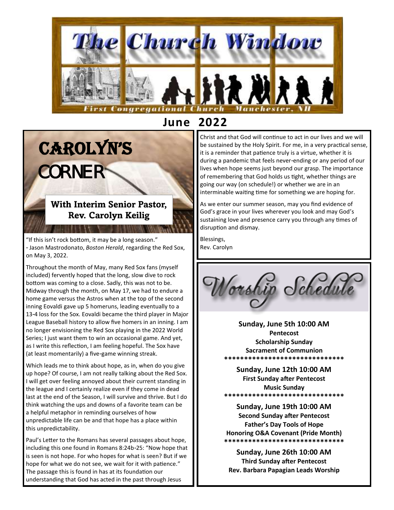

## **June 2022**

# CAROLYN'S CORNER

#### **With Interim Senior Pastor, Rev. Carolyn Keilig**

"If this isn't rock bottom, it may be a long season." - Jason Mastrodonato, *Boston Herald*, regarding the Red Sox, on May 3, 2022.

*RELEASE AS A RELEASED* 

Throughout the month of May, many Red Sox fans (myself included) fervently hoped that the long, slow dive to rock bottom was coming to a close. Sadly, this was not to be. Midway through the month, on May 17, we had to endure a home game versus the Astros when at the top of the second inning Eovaldi gave up 5 homeruns, leading eventually to a 13-4 loss for the Sox. Eovaldi became the third player in Major League Baseball history to allow five homers in an inning. I am no longer envisioning the Red Sox playing in the 2022 World Series; I just want them to win an occasional game. And yet, as I write this reflection, I am feeling hopeful. The Sox have (at least momentarily) a five-game winning streak.

Which leads me to think about hope, as in, when do you give up hope? Of course, I am not really talking about the Red Sox. I will get over feeling annoyed about their current standing in the league and I certainly realize even if they come in dead last at the end of the Season, I will survive and thrive. But I do think watching the ups and downs of a favorite team can be a helpful metaphor in reminding ourselves of how unpredictable life can be and that hope has a place within this unpredictability.

Paul's Letter to the Romans has several passages about hope, including this one found in Romans 8:24b-25: "Now hope that is seen is not hope. For who hopes for what is seen? But if we hope for what we do not see, we wait for it with patience." The passage this is found in has at its foundation our understanding that God has acted in the past through Jesus

Christ and that God will continue to act in our lives and we will be sustained by the Holy Spirit. For me, in a very practical sense, it is a reminder that patience truly is a virtue, whether it is during a pandemic that feels never-ending or any period of our lives when hope seems just beyond our grasp. The importance of remembering that God holds us tight, whether things are going our way (on schedule!) or whether we are in an interminable waiting time for something we are hoping for.

As we enter our summer season, may you find evidence of God's grace in your lives wherever you look and may God's sustaining love and presence carry you through any times of disruption and dismay.

Blessings, Rev. Carolyn



**Sunday, June 5th 10:00 AM Pentecost Scholarship Sunday Sacrament of Communion \*\*\*\*\*\*\*\*\*\*\*\*\*\*\*\*\*\*\*\*\*\*\*\*\*\*\*\*\*\***

**Sunday, June 12th 10:00 AM First Sunday after Pentecost Music Sunday \*\*\*\*\*\*\*\*\*\*\*\*\*\*\*\*\*\*\*\*\*\*\*\*\*\*\*\*\*\***

**Sunday, June 19th 10:00 AM Second Sunday after Pentecost Father's Day Tools of Hope Honoring O&A Covenant (Pride Month) \*\*\*\*\*\*\*\*\*\*\*\*\*\*\*\*\*\*\*\*\*\*\*\*\*\*\*\*\*\***

**Sunday, June 26th 10:00 AM Third Sunday after Pentecost Rev. Barbara Papagian Leads Worship**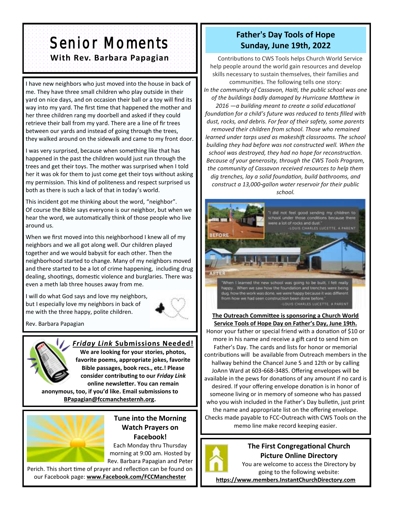# Senior Moments **With Rev. Barbara Papagian**

I have new neighbors who just moved into the house in back of me. They have three small children who play outside in their yard on nice days, and on occasion their ball or a toy will find its way into my yard. The first time that happened the mother and her three children rang my doorbell and asked if they could retrieve their ball from my yard. There are a line of fir trees between our yards and instead of going through the trees, they walked around on the sidewalk and came to my front door.

I was very surprised, because when something like that has happened in the past the children would just run through the trees and get their toys. The mother was surprised when I told her it was ok for them to just come get their toys without asking my permission. This kind of politeness and respect surprised us both as there is such a lack of that in today's world.

This incident got me thinking about the word, "neighbor". Of course the Bible says everyone is our neighbor, but when we hear the word, we automatically think of those people who live around us.

When we first moved into this neighborhood I knew all of my neighbors and we all got along well. Our children played together and we would babysit for each other. Then the neighborhood started to change. Many of my neighbors moved and there started to be a lot of crime happening, including drug dealing, shootings, domestic violence and burglaries. There was even a meth lab three houses away from me.

I will do what God says and love my neighbors, but I especially love my neighbors in back of me with the three happy, polite children.



Rev. Barbara Papagian



*Friday Link* **Submissions Needed!**

**We are looking for your stories, photos, favorite poems, appropriate jokes, favorite Bible passages, book recs., etc.! Please consider contributing to our** *Friday Link*  **online newsletter. You can remain** 

**anonymous, too, if you'd like. Email submissions to BPapagian@fccmanchesternh.org.**



#### **Tune into the Morning Watch Prayers on Facebook!**

Each Monday thru Thursday morning at 9:00 am. Hosted by Rev. Barbara Papagian and Peter

Perich. This short time of prayer and reflection can be found on our Facebook page: **www.Facebook.com/FCCManchester**

#### **Father's Day Tools of Hope Sunday, June 19th, 2022**

Contributions to CWS Tools helps Church World Service help people around the world gain resources and develop skills necessary to sustain themselves, their families and communities. The following tells one story: *In the community of Cassavon, Haiti, the public school was one of the buildings badly damaged by Hurricane Matthew in 2016 —a building meant to create a solid educational foundation for a child's future was reduced to tents filled with dust, rocks, and debris. For fear of their safety, some parents removed their children from school. Those who remained learned under tarps used as makeshift classrooms. The school building they had before was not constructed well. When the school was destroyed, they had no hope for reconstruction. Because of your generosity, through the CWS Tools Program, the community of Cassavon received resources to help them dig trenches, lay a solid foundation, build bathrooms, and construct a 13,000-gallon water reservoir for their public school.* 



**The Outreach Committee is sponsoring a Church World Service Tools of Hope Day on Father's Day, June 19th.**  Honor your father or special friend with a donation of \$10 or more in his name and receive a gift card to send him on Father's Day. The cards and lists for honor or memorial contributions will be available from Outreach members in the hallway behind the Chancel June 5 and 12th or by calling JoAnn Ward at 603-668-3485. Offering envelopes will be available in the pews for donations of any amount if no card is desired. If your offering envelope donation is in honor of someone living or in memory of someone who has passed who you wish included in the Father's Day bulletin, just print the name and appropriate list on the offering envelope. Checks made payable to FCC-Outreach with CWS Tools on the memo line make record keeping easier.



#### **The First Congregational Church Picture Online Directory**

You are welcome to access the Directory by going to the following website:

**https://www.members.InstantChurchDirectory.com**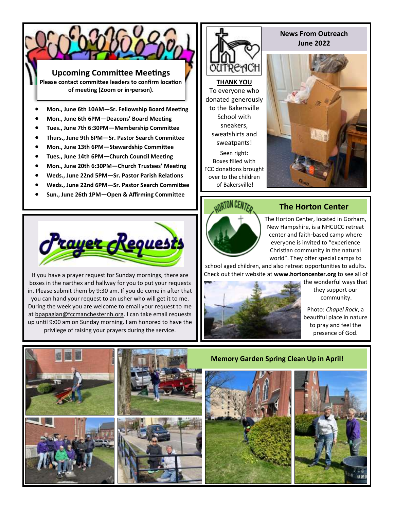**Upcoming Committee Meetings Please contact committee leaders to confirm location of meeting (Zoom or in-person).**

- **Mon., June 6th 10AM—Sr. Fellowship Board Meeting**
- **Mon., June 6th 6PM—Deacons' Board Meeting**
- **Tues., June 7th 6:30PM—Membership Committee**
- **Thurs., June 9th 6PM—Sr. Pastor Search Committee**
- **Mon., June 13th 6PM—Stewardship Committee**
- **Tues., June 14th 6PM—Church Council Meeting**
- **Mon., June 20th 6:30PM—Church Trustees' Meeting**
- **Weds., June 22nd 5PM—Sr. Pastor Parish Relations**
- **Weds., June 22nd 6PM—Sr. Pastor Search Committee**
- **Sun., June 26th 1PM—Open & Affirming Committee**



If you have a prayer request for Sunday mornings, there are boxes in the narthex and hallway for you to put your requests in. Please submit them by 9:30 am. If you do come in after that you can hand your request to an usher who will get it to me. During the week you are welcome to email your request to me at [bpapagian@fccmanchesternh.org.](mailto:bpapagian@fccmanchesternh.org) I can take email requests up until 9:00 am on Sunday morning. I am honored to have the privilege of raising your prayers during the service.



To everyone who donated generously to the Bakersville School with sneakers, sweatshirts and sweatpants!

Seen right: Boxes filled with FCC donations brought over to the children of Bakersville!



**News From Outreach June 2022**

<sub>AN</sub>RTON CEA

#### **The Horton Center**



The Horton Center, located in Gorham, New Hampshire, is a NHCUCC retreat center and faith-based camp where everyone is invited to "experience Christian community in the natural world". They offer special camps to

school aged children, and also retreat opportunities to adults. Check out their website at **www.hortoncenter.org** to see all of

**Memory Garden Spring Clean Up in April!**



the wonderful ways that they support our community.

Photo: *Chapel Rock*, a beautiful place in nature to pray and feel the presence of God.



# **UM**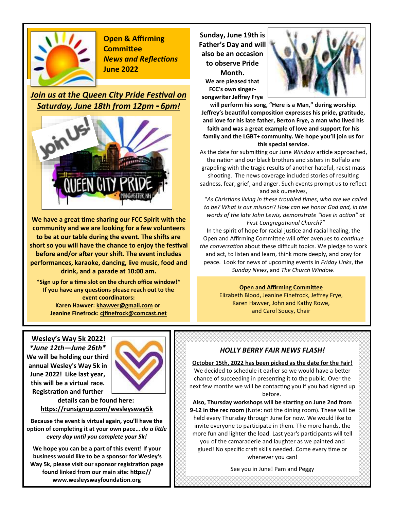

 **Open & Affirming Committee** *News and Reflections*  **June 2022**

#### *Join us at the Queen City Pride Festival on Saturday, June 18th from 12pm - 6pm!*



**We have a great time sharing our FCC Spirit with the community and we are looking for a few volunteers to be at our table during the event. The shifts are short so you will have the chance to enjoy the festival before and/or after your shift. The event includes performances, karaoke, dancing, live music, food and drink, and a parade at 10:00 am.**

**\*Sign up for a time slot on the church office window!\* If you have any questions please reach out to the event coordinators:** 

**Karen Hawver: [khawver@gmail.com](mailto:khawver@gmail.com) or Jeanine Finefrock: [cjfinefrock@comcast.net](mailto:cjfinefrock@comcast.net)** **Sunday, June 19th is Father's Day and will also be an occasion to observe Pride Month. We are pleased that** 

**FCC's own singersongwriter Jeffrey Frye** 



**will perform his song, "Here is a Man," during worship. Jeffrey's beautiful composition expresses his pride, gratitude, and love for his late father, Berton Frye, a man who lived his faith and was a great example of love and support for his family and the LGBT+ community. We hope you'll join us for this special service.**

As the date for submitting our June *Window* article approached, the nation and our black brothers and sisters in Buffalo are grappling with the tragic results of another hateful, racist mass shooting. The news coverage included stories of resulting sadness, fear, grief, and anger. Such events prompt us to reflect and ask ourselves,

"*As Christians living in these troubled times*, *who are we called to be? What is our mission*? *How can we honor God and, in the words of the late John Lewis, demonstrate "love in action" at First Congregational Church?"*

In the spirit of hope for racial justice and racial healing, the Open and Affirming Committee will offer avenues to *continue the conversation* about these difficult topics. We pledge to work and act, to listen and learn, think more deeply, and pray for peace. Look for news of upcoming events in *Friday Links*, the *Sunday News*, and *The Church Window.* 

**Open and Affirming Committee**

Elizabeth Blood, Jeanine Finefrock, Jeffrey Frye, Karen Hawver, John and Kathy Rowe, and Carol Soucy, Chair

#### **Wesley's Way 5k 2022!**

*\*June 12th—June 26th\** **We will be holding our third annual Wesley's Way 5k in June 2022! Like last year, this will be a virtual race. Registration and further** 



**details can be found here: https://runsignup.com/wesleysway5k** 

**Because the event is virtual again, you'll have the option of completing it at your own pace…** *do a little every day until you complete your 5k!*

**We hope you can be a part of this event! If your business would like to be a sponsor for Wesley's Way 5k, please visit our sponsor registration page found linked from our main site: https:// www.wesleyswayfoundation.org**

#### *HOLLY BERRY FAIR NEWS FLASH!*

**October 15th, 2022 has been picked as the date for the Fair!** We decided to schedule it earlier so we would have a better chance of succeeding in presenting it to the public. Over the next few months we will be contacting you if you had signed up before.

**Also, Thursday workshops will be starting on June 2nd from 9-12 in the rec room** (Note: not the dining room). These will be held every Thursday through June for now. We would like to invite everyone to participate in them. The more hands, the more fun and lighter the load. Last year's participants will tell you of the camaraderie and laughter as we painted and glued! No specific craft skills needed. Come every time or whenever you can!

See you in June! Pam and Peggy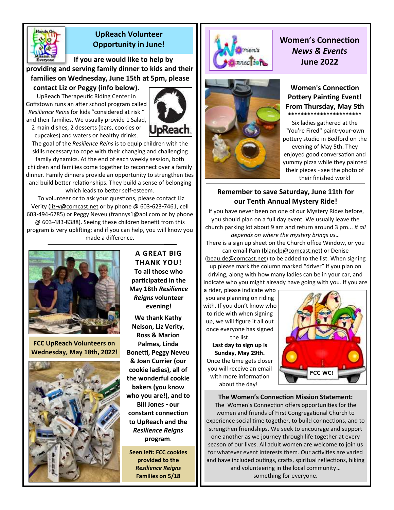

#### **UpReach Volunteer Opportunity in June!**

 **If you are would like to help by** 

**providing and serving family dinner to kids and their families on Wednesday, June 15th at 5pm, please** 

#### **contact Liz or Peggy (info below).**

UpReach Therapeutic Riding Center in Goffstown runs an after school program called *Resilience Reins* for kids "considered at risk " and their families. We usually provide 1 Salad, 2 main dishes, 2 desserts (bars, cookies or cupcakes) and waters or healthy drinks.



The goal of the *Resilience Reins* is to equip children with the skills necessary to cope with their changing and challenging family dynamics. At the end of each weekly session, both children and families come together to reconnect over a family dinner. Family dinners provide an opportunity to strengthen ties and build better relationships. They build a sense of belonging which leads to better self-esteem.

To volunteer or to ask your questions, please contact Liz Verity [\(liz-v@comcast.net](mailto:liz-v@comcast.net) or by phone @ 603-623-7461, cell 603-494-6785) or Peggy Neveu [\(frannys1@aol.com](mailto:frannys1@aol.com) or by phone @ 603-483-8388). Seeing these children benefit from this program is very uplifting; and if you can help, you will know you made a difference.



**FCC UpReach Volunteers on Wednesday, May 18th, 2022!**



#### **A GREAT BIG THANK YOU! To all those who**

**participated in the May 18th** *Resilience Reigns* **volunteer evening!**

**We thank Kathy Nelson, Liz Verity, Ross & Marion Palmes, Linda Bonetti, Peggy Neveu & Joan Currier (our cookie ladies), all of the wonderful cookie bakers (you know who you are!), and to Bill Jones - our constant connection to UpReach and the**  *Resilience Reigns*  **program**.

**Seen left: FCC cookies provided to the**  *Resilience Reigns*  **Families on 5/18**





#### **Women's Connection**  *News & Events* **June 2022**

#### **Women's Connection Pottery Painting Event! From Thursday, May 5th \*\*\*\*\*\*\*\*\*\*\*\*\*\*\*\*\*\*\*\*\*\*\***

Six ladies gathered at the "You're Fired" paint-your-own pottery studio in Bedford on the evening of May 5th. They enjoyed good conversation and yummy pizza while they painted their pieces - see the photo of their finished work!

#### **Remember to save Saturday, June 11th for our Tenth Annual Mystery Ride!**

If you have never been on one of our Mystery Rides before, you should plan on a full day event. We usually leave the church parking lot about 9 am and return around 3 pm... *it all depends on where the mystery brings us…* 

There is a sign up sheet on the Church office Window, or you can email Pam ([blanclp@comcast.net\)](mailto:blanclp@comcast.net) or Denise ([beau.de@comcast.net\)](mailto:bbeau.de@comcast.net) to be added to the list. When signing up please mark the column marked "driver" if you plan on

driving, along with how many ladies can be in your car, and indicate who you might already have going with you. If you are

a rider, please indicate who you are planning on riding with. If you don't know who to ride with when signing up, we will figure it all out once everyone has signed the list.

**Last day to sign up is Sunday, May 29th.** Once the time gets closer you will receive an email with more information about the day!



**The Women's Connection Mission Statement:**  The Women's Connection offers opportunities for the women and friends of First Congregational Church to experience social time together, to build connections, and to strengthen friendships. We seek to encourage and support one another as we journey through life together at every season of our lives. All adult women are welcome to join us for whatever event interests them. Our activities are varied and have included outings, crafts, spiritual reflections, hiking and volunteering in the local community… something for everyone.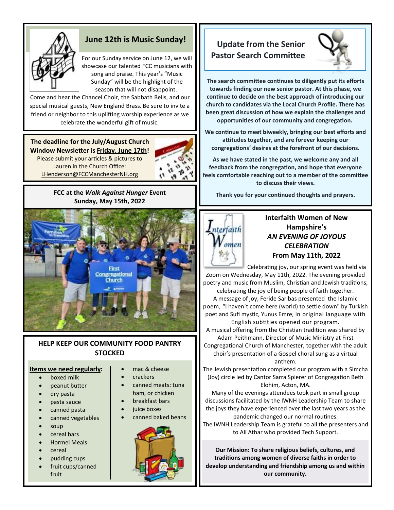

#### **June 12th is Music Sunday!**

For our Sunday service on June 12, we will showcase our talented FCC musicians with song and praise. This year's "Music Sunday" will be the highlight of the season that will not disappoint.

Come and hear the Chancel Choir, the Sabbath Bells, and our special musical guests, New England Brass. Be sure to invite a friend or neighbor to this uplifting worship experience as we celebrate the wonderful gift of music.

**The deadline for the July/August Church Window Newsletter is Friday, June 17th!**  Please submit your articles & pictures to Lauren in the Church Office: LHenderson@FCCManchesterNH.org



#### **FCC at the** *Walk Against Hunger* **Event Sunday, May 15th, 2022**



#### **HELP KEEP OUR COMMUNITY FOOD PANTRY STOCKED**

#### **Items we need regularly:**

- boxed milk
- peanut butter
- dry pasta
- pasta sauce
- canned pasta
- canned vegetables
- soup
- cereal bars
- Hormel Meals
- **cereal**
- pudding cups
- fruit cups/canned fruit
- mac & cheese
- crackers
- canned meats: tuna ham, or chicken
- breakfast bars
- juice boxes
- canned baked beans



#### **Update from the Senior Pastor Search Committee**



**The search committee continues to diligently put its efforts towards finding our new senior pastor. At this phase, we continue to decide on the best approach of introducing our church to candidates via the Local Church Profile. There has been great discussion of how we explain the challenges and opportunities of our community and congregation.**

**We continue to meet biweekly, bringing our best efforts and attitudes together, and are forever keeping our congregations' desires at the forefront of our decisions.**

**As we have stated in the past, we welcome any and all feedback from the congregation, and hope that everyone feels comfortable reaching out to a member of the committee to discuss their views.**

**Thank you for your continued thoughts and prayers.**



#### **Interfaith Women of New Hampshire's** *AN EVENING OF JOYOUS CELEBRATION* **From May 11th, 2022**

Celebrating joy, our spring event was held via Zoom on Wednesday, May 11th, 2022. The evening provided poetry and music from Muslim, Christian and Jewish traditions,

celebrating the joy of being people of faith together. A message of joy, Feride Saribas presented the Islamic poem, "I haven`t come here (world) to settle down" by Turkish poet and Sufi mystic, Yunus Emre, in original language with English subtitles opened our program.

A musical offering from the Christian tradition was shared by Adam Peithmann, Director of Music Ministry at First Congregational Church of Manchester, together with the adult choir's presentation of a Gospel choral sung as a virtual anthem.

The Jewish presentation completed our program with a Simcha (Joy) circle led by Cantor Sarra Spierer of Congregation Beth

Elohim, Acton, MA.

Many of the evenings attendees took part in small group discussions facilitated by the IWNH Leadership Team to share the joys they have experienced over the last two years as the pandemic changed our normal routines.

The IWNH Leadership Team is grateful to all the presenters and to Ali Athar who provided Tech Support.

**Our Mission: To share religious beliefs, cultures, and traditions among women of diverse faiths in order to develop understanding and friendship among us and within our community.**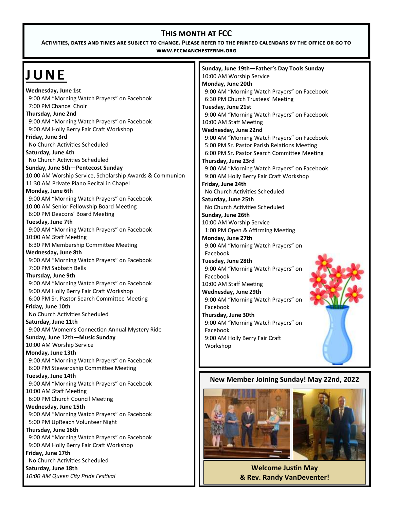#### **This month at FCC**

**Activities, dates and times are subject to change. Please refer to the printed calendars by the office or go to www.fccmanchesternh.org**

# **J U N E**

**Wednesday, June 1st** 9:00 AM "Morning Watch Prayers" on Facebook 7:00 PM Chancel Choir **Thursday, June 2nd** 9:00 AM "Morning Watch Prayers" on Facebook 9:00 AM Holly Berry Fair Craft Workshop **Friday, June 3rd** No Church Activities Scheduled **Saturday, June 4th** No Church Activities Scheduled **Sunday, June 5th—Pentecost Sunday** 10:00 AM Worship Service, Scholarship Awards & Communion 11:30 AM Private Piano Recital in Chapel **Monday, June 6th** 9:00 AM "Morning Watch Prayers" on Facebook 10:00 AM Senior Fellowship Board Meeting 6:00 PM Deacons' Board Meeting **Tuesday, June 7th** 9:00 AM "Morning Watch Prayers" on Facebook 10:00 AM Staff Meeting 6:30 PM Membership Committee Meeting **Wednesday, June 8th** 9:00 AM "Morning Watch Prayers" on Facebook 7:00 PM Sabbath Bells **Thursday, June 9th** 9:00 AM "Morning Watch Prayers" on Facebook 9:00 AM Holly Berry Fair Craft Workshop 6:00 PM Sr. Pastor Search Committee Meeting **Friday, June 10th** No Church Activities Scheduled **Saturday, June 11th** 9:00 AM Women's Connection Annual Mystery Ride **Sunday, June 12th—Music Sunday** 10:00 AM Worship Service **Monday, June 13th** 9:00 AM "Morning Watch Prayers" on Facebook 6:00 PM Stewardship Committee Meeting **Tuesday, June 14th** 9:00 AM "Morning Watch Prayers" on Facebook 10:00 AM Staff Meeting 6:00 PM Church Council Meeting **Wednesday, June 15th** 9:00 AM "Morning Watch Prayers" on Facebook 5:00 PM UpReach Volunteer Night **Thursday, June 16th** 9:00 AM "Morning Watch Prayers" on Facebook 9:00 AM Holly Berry Fair Craft Workshop **Friday, June 17th** No Church Activities Scheduled **Saturday, June 18th** *10:00 AM Queen City Pride Festival*

**Sunday, June 19th—Father's Day Tools Sunday** 10:00 AM Worship Service **Monday, June 20th** 9:00 AM "Morning Watch Prayers" on Facebook 6:30 PM Church Trustees' Meeting **Tuesday, June 21st** 9:00 AM "Morning Watch Prayers" on Facebook 10:00 AM Staff Meeting **Wednesday, June 22nd** 9:00 AM "Morning Watch Prayers" on Facebook 5:00 PM Sr. Pastor Parish Relations Meeting 6:00 PM Sr. Pastor Search Committee Meeting **Thursday, June 23rd** 9:00 AM "Morning Watch Prayers" on Facebook 9:00 AM Holly Berry Fair Craft Workshop **Friday, June 24th**  No Church Activities Scheduled **Saturday, June 25th** No Church Activities Scheduled **Sunday, June 26th** 10:00 AM Worship Service 1:00 PM Open & Affirming Meeting **Monday, June 27th** 9:00 AM "Morning Watch Prayers" on Facebook **Tuesday, June 28th** 9:00 AM "Morning Watch Prayers" on Facebook 10:00 AM Staff Meeting **Wednesday, June 29th** 9:00 AM "Morning Watch Prayers" on Facebook **Thursday, June 30th** 9:00 AM "Morning Watch Prayers" on Facebook 9:00 AM Holly Berry Fair Craft Workshop

#### **New Member Joining Sunday! May 22nd, 2022**





**Welcome Justin May & Rev. Randy VanDeventer!**